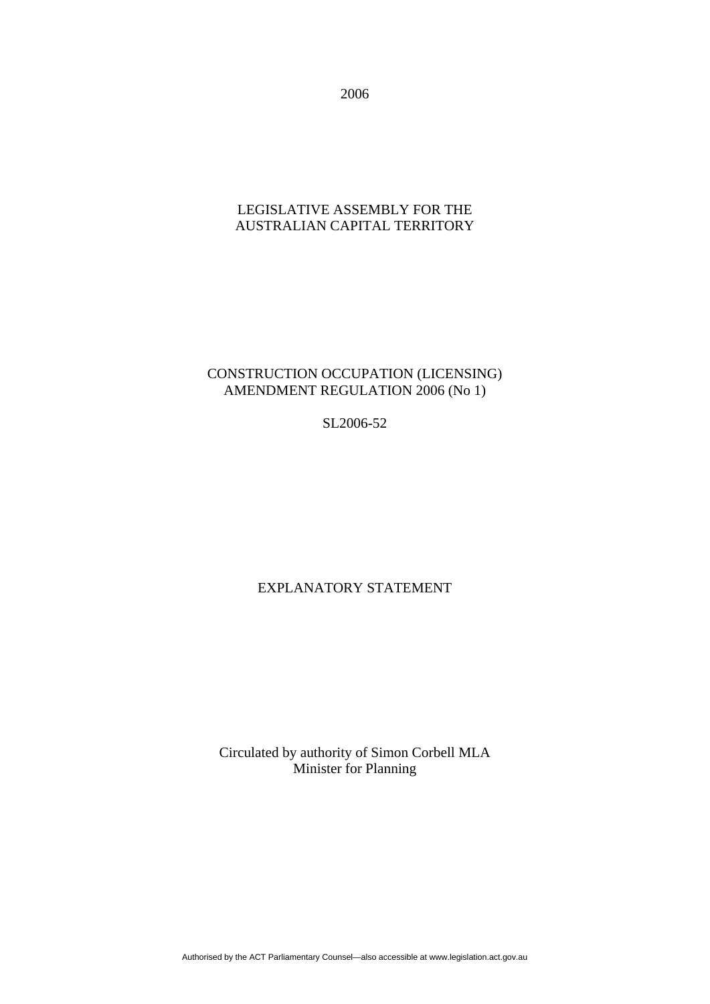2006

## LEGISLATIVE ASSEMBLY FOR THE AUSTRALIAN CAPITAL TERRITORY

# CONSTRUCTION OCCUPATION (LICENSING) AMENDMENT REGULATION 2006 (No 1)

SL2006-52

# EXPLANATORY STATEMENT

Circulated by authority of Simon Corbell MLA Minister for Planning